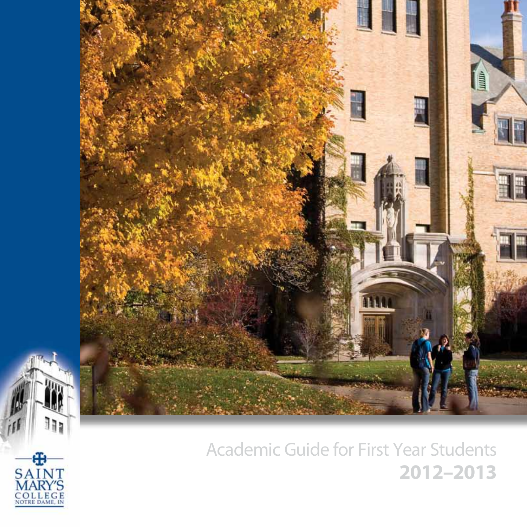



**NOTRE DAME, IN** 

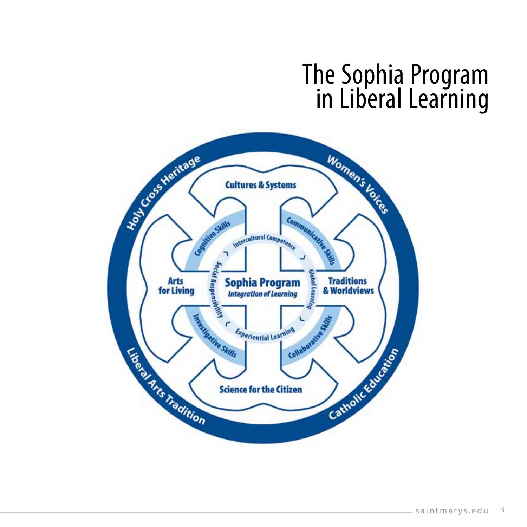# The Sophia Program in Liberal Learning

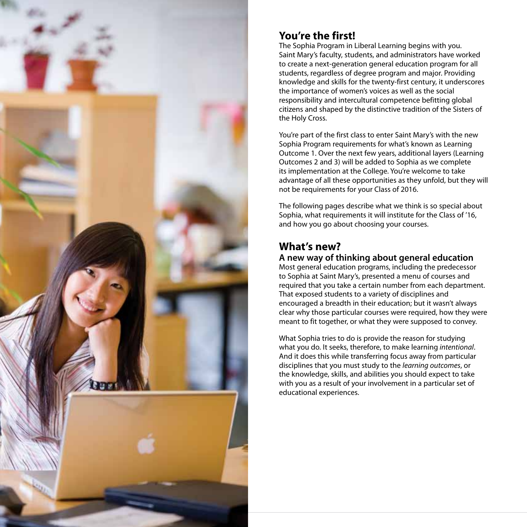

# **You're the first!**

The Sophia Program in Liberal Learning begins with you. Saint Mary's faculty, students, and administrators have worked to create a next-generation general education program for all students, regardless of degree program and major. Providing knowledge and skills for the twenty-first century, it underscores the importance of women's voices as well as the social responsibility and intercultural competence befitting global citizens and shaped by the distinctive tradition of the Sisters of the Holy Cross.

You're part of the first class to enter Saint Mary's with the new Sophia Program requirements for what's known as Learning Outcome 1. Over the next few years, additional layers (Learning Outcomes 2 and 3) will be added to Sophia as we complete its implementation at the College. You're welcome to take advantage of all these opportunities as they unfold, but they will not be requirements for your Class of 2016.

The following pages describe what we think is so special about Sophia, what requirements it will institute for the Class of '16, and how you go about choosing your courses.

# **What's new?**

#### **A new way of thinking about general education**

Most general education programs, including the predecessor to Sophia at Saint Mary's, presented a menu of courses and required that you take a certain number from each department. That exposed students to a variety of disciplines and encouraged a breadth in their education; but it wasn't always clear why those particular courses were required, how they were meant to fit together, or what they were supposed to convey.

What Sophia tries to do is provide the reason for studying what you do. It seeks, therefore, to make learning intentional. And it does this while transferring focus away from particular disciplines that you must study to the learning outcomes, or the knowledge, skills, and abilities you should expect to take with you as a result of your involvement in a particular set of educational experiences.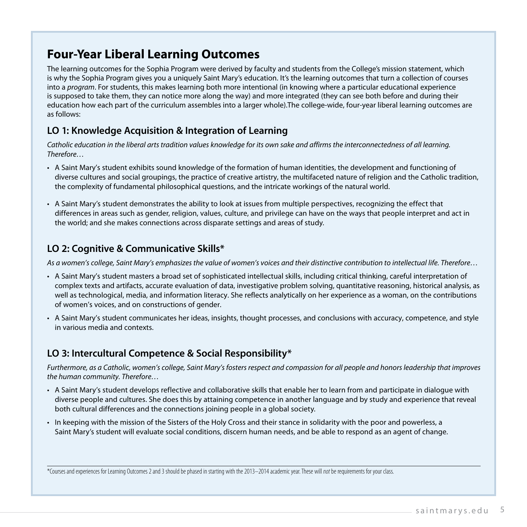# **Four-Year Liberal Learning Outcomes**

The learning outcomes for the Sophia Program were derived by faculty and students from the College's mission statement, which is why the Sophia Program gives you a uniquely Saint Mary's education. It's the learning outcomes that turn a collection of courses into a program. For students, this makes learning both more intentional (in knowing where a particular educational experience is supposed to take them, they can notice more along the way) and more integrated (they can see both before and during their education how each part of the curriculum assembles into a larger whole).The college-wide, four-year liberal learning outcomes are as follows:

### **LO 1: Knowledge Acquisition & Integration of Learning**

Catholic education in the liberal arts tradition values knowledge for its own sake and affirms the interconnectedness of all learning. Therefore…

- A Saint Mary's student exhibits sound knowledge of the formation of human identities, the development and functioning of diverse cultures and social groupings, the practice of creative artistry, the multifaceted nature of religion and the Catholic tradition, the complexity of fundamental philosophical questions, and the intricate workings of the natural world.
- r A Saint Mary's student demonstrates the ability to look at issues from multiple perspectives, recognizing the effect that differences in areas such as gender, religion, values, culture, and privilege can have on the ways that people interpret and act in the world; and she makes connections across disparate settings and areas of study.

### **LO 2: Cognitive & Communicative Skills\***

As a women's college, Saint Mary's emphasizes the value of women's voices and their distinctive contribution to intellectual life. Therefore…

- A Saint Mary's student masters a broad set of sophisticated intellectual skills, including critical thinking, careful interpretation of complex texts and artifacts, accurate evaluation of data, investigative problem solving, quantitative reasoning, historical analysis, as well as technological, media, and information literacy. She reflects analytically on her experience as a woman, on the contributions of women's voices, and on constructions of gender.
- A Saint Mary's student communicates her ideas, insights, thought processes, and conclusions with accuracy, competence, and style in various media and contexts.

### **LO 3: Intercultural Competence & Social Responsibility\***

Furthermore, as a Catholic, women's college, Saint Mary's fosters respect and compassion for all people and honors leadership that improves the human community. Therefore…

- A Saint Mary's student develops reflective and collaborative skills that enable her to learn from and participate in dialoque with diverse people and cultures. She does this by attaining competence in another language and by study and experience that reveal both cultural differences and the connections joining people in a global society.
- In keeping with the mission of the Sisters of the Holy Cross and their stance in solidarity with the poor and powerless, a Saint Mary's student will evaluate social conditions, discern human needs, and be able to respond as an agent of change.

\*Courses and experiences for Learning Outcomes 2 and 3 should be phased in starting with the 2013–2014 academic year. These will not be requirements for your class.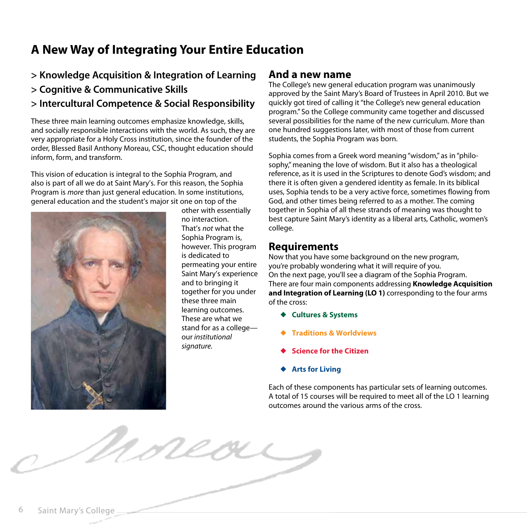# **A New Way of Integrating Your Entire Education**

# **> Knowledge Acquisition & Integration of Learning**

**> Cognitive & Communicative Skills**

**> Intercultural Competence & Social Responsibility**

These three main learning outcomes emphasize knowledge, skills, and socially responsible interactions with the world. As such, they are very appropriate for a Holy Cross institution, since the founder of the order, Blessed Basil Anthony Moreau, CSC, thought education should inform, form, and transform.

This vision of education is integral to the Sophia Program, and also is part of all we do at Saint Mary's. For this reason, the Sophia Program is more than just general education. In some institutions, general education and the student's major sit one on top of the



other with essentially no interaction. That's not what the Sophia Program is, however. This program is dedicated to permeating your entire Saint Mary's experience and to bringing it together for you under these three main learning outcomes. These are what we stand for as a college our institutional signature.

### **And a new name**

The College's new general education program was unanimously approved by the Saint Mary's Board of Trustees in April 2010. But we quickly got tired of calling it "the College's new general education program." So the College community came together and discussed several possibilities for the name of the new curriculum. More than one hundred suggestions later, with most of those from current students, the Sophia Program was born.

Sophia comes from a Greek word meaning "wisdom," as in "philosophy," meaning the love of wisdom. But it also has a theological reference, as it is used in the Scriptures to denote God's wisdom; and there it is often given a gendered identity as female. In its biblical uses, Sophia tends to be a very active force, sometimes flowing from God, and other times being referred to as a mother. The coming together in Sophia of all these strands of meaning was thought to best capture Saint Mary's identity as a liberal arts, Catholic, women's college.

### **Requirements**

Now that you have some background on the new program, you're probably wondering what it will require of you. On the next page, you'll see a diagram of the Sophia Program. There are four main components addressing **Knowledge Acquisition and Integration of Learning (LO 1)** corresponding to the four arms of the cross:

- X **Cultures & Systems**
- X **Traditions & Worldviews**
- **Science for the Citizen**
- **◆ Arts for Living**

Each of these components has particular sets of learning outcomes. A total of 15 courses will be required to meet all of the LO 1 learning outcomes around the various arms of the cross.

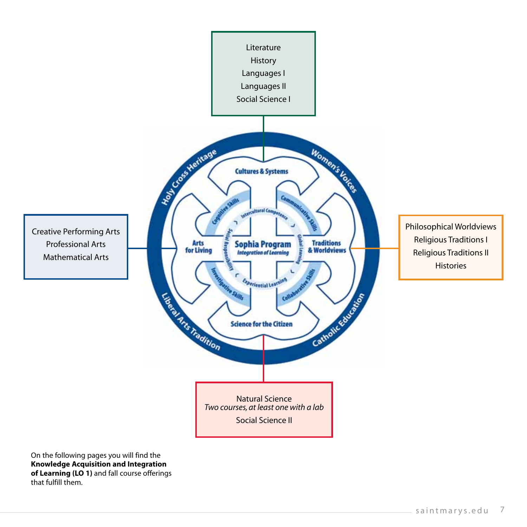

On the following pages you will find the **Knowledge Acquisition and Integration of Learning (LO 1)** and fall course offerings that fulfill them.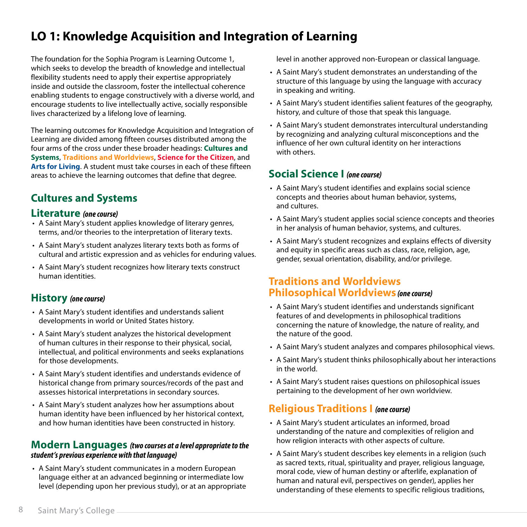# **LO 1: Knowledge Acquisition and Integration of Learning**

The foundation for the Sophia Program is Learning Outcome 1, which seeks to develop the breadth of knowledge and intellectual flexibility students need to apply their expertise appropriately inside and outside the classroom, foster the intellectual coherence enabling students to engage constructively with a diverse world, and encourage students to live intellectually active, socially responsible lives characterized by a lifelong love of learning.

The learning outcomes for Knowledge Acquisition and Integration of Learning are divided among fifteen courses distributed among the four arms of the cross under these broader headings: **Cultures and Systems**, **Traditions and Worldviews**, **Science for the Citizen**, and **Arts for Living**. A student must take courses in each of these fifteen areas to achieve the learning outcomes that define that degree.

# **Cultures and Systems**

#### **Literature (one course)**

- A Saint Mary's student applies knowledge of literary genres, terms, and/or theories to the interpretation of literary texts.
- A Saint Mary's student analyzes literary texts both as forms of cultural and artistic expression and as vehicles for enduring values.
- A Saint Mary's student recognizes how literary texts construct human identities.

### **History (one course)**

- A Saint Mary's student identifies and understands salient developments in world or United States history.
- A Saint Mary's student analyzes the historical development of human cultures in their response to their physical, social, intellectual, and political environments and seeks explanations for those developments.
- A Saint Mary's student identifies and understands evidence of historical change from primary sources/records of the past and assesses historical interpretations in secondary sources.
- A Saint Mary's student analyzes how her assumptions about human identity have been influenced by her historical context, and how human identities have been constructed in history.

#### **Modern Languages (two courses at a level appropriate to the student's previous experience with that language)**

• A Saint Mary's student communicates in a modern European language either at an advanced beginning or intermediate low level (depending upon her previous study), or at an appropriate level in another approved non-European or classical language.

- A Saint Mary's student demonstrates an understanding of the structure of this language by using the language with accuracy in speaking and writing.
- A Saint Mary's student identifies salient features of the geography, history, and culture of those that speak this language.
- A Saint Mary's student demonstrates intercultural understanding by recognizing and analyzing cultural misconceptions and the influence of her own cultural identity on her interactions with others.

### **Social Science I (one course)**

- A Saint Mary's student identifies and explains social science concepts and theories about human behavior, systems, and cultures.
- A Saint Mary's student applies social science concepts and theories in her analysis of human behavior, systems, and cultures.
- A Saint Mary's student recognizes and explains effects of diversity and equity in specific areas such as class, race, religion, age, gender, sexual orientation, disability, and/or privilege.

### **Traditions and Worldviews Philosophical Worldviews (one course)**

- A Saint Mary's student identifies and understands significant features of and developments in philosophical traditions concerning the nature of knowledge, the nature of reality, and the nature of the good.
- A Saint Mary's student analyzes and compares philosophical views.
- A Saint Mary's student thinks philosophically about her interactions in the world.
- A Saint Mary's student raises questions on philosophical issues pertaining to the development of her own worldview.

### **Religious Traditions I (one course)**

- A Saint Mary's student articulates an informed, broad understanding of the nature and complexities of religion and how religion interacts with other aspects of culture.
- A Saint Mary's student describes key elements in a religion (such as sacred texts, ritual, spirituality and prayer, religious language, moral code, view of human destiny or afterlife, explanation of human and natural evil, perspectives on gender), applies her understanding of these elements to specific religious traditions,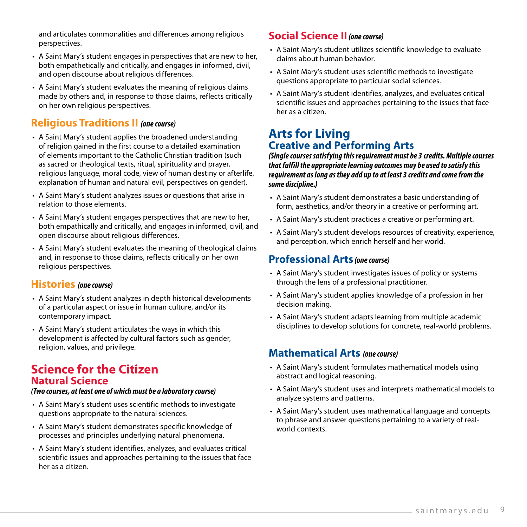and articulates commonalities and differences among religious perspectives.

- A Saint Mary's student engages in perspectives that are new to her, both empathetically and critically, and engages in informed, civil, and open discourse about religious differences.
- A Saint Mary's student evaluates the meaning of religious claims made by others and, in response to those claims, reflects critically on her own religious perspectives.

### **Religious Traditions II (one course)**

- A Saint Mary's student applies the broadened understanding of religion gained in the first course to a detailed examination of elements important to the Catholic Christian tradition (such as sacred or theological texts, ritual, spirituality and prayer, religious language, moral code, view of human destiny or afterlife, explanation of human and natural evil, perspectives on gender).
- A Saint Mary's student analyzes issues or questions that arise in relation to those elements.
- A Saint Mary's student engages perspectives that are new to her, both empathically and critically, and engages in informed, civil, and open discourse about religious differences.
- A Saint Mary's student evaluates the meaning of theological claims and, in response to those claims, reflects critically on her own religious perspectives.

#### **Histories (one course)**

- A Saint Mary's student analyzes in depth historical developments of a particular aspect or issue in human culture, and/or its contemporary impact.
- A Saint Mary's student articulates the ways in which this development is affected by cultural factors such as gender, religion, values, and privilege.

# **Science for the Citizen Natural Science**

#### **(Two courses, at least one of which must be a laboratory course)**

- A Saint Mary's student uses scientific methods to investigate questions appropriate to the natural sciences.
- A Saint Mary's student demonstrates specific knowledge of processes and principles underlying natural phenomena.
- A Saint Mary's student identifies, analyzes, and evaluates critical scientific issues and approaches pertaining to the issues that face her as a citizen.

### **Social Science II (one course)**

- A Saint Mary's student utilizes scientific knowledge to evaluate claims about human behavior.
- A Saint Mary's student uses scientific methods to investigate questions appropriate to particular social sciences.
- A Saint Mary's student identifies, analyzes, and evaluates critical scientific issues and approaches pertaining to the issues that face her as a citizen.

### **Arts for Living Creative and Performing Arts**

**(Single courses satisfying this requirement must be 3 credits. Multiple courses that fulfill the appropriate learning outcomes may be used to satisfy this requirement as long as they add up to at least 3 credits and come from the same discipline.)**

- A Saint Mary's student demonstrates a basic understanding of form, aesthetics, and/or theory in a creative or performing art.
- A Saint Mary's student practices a creative or performing art.
- A Saint Mary's student develops resources of creativity, experience, and perception, which enrich herself and her world.

### **Professional Arts (one course)**

- A Saint Mary's student investigates issues of policy or systems through the lens of a professional practitioner.
- A Saint Mary's student applies knowledge of a profession in her decision making.
- A Saint Mary's student adapts learning from multiple academic disciplines to develop solutions for concrete, real-world problems.

#### **Mathematical Arts (one course)**

- A Saint Mary's student formulates mathematical models using abstract and logical reasoning.
- A Saint Mary's student uses and interprets mathematical models to analyze systems and patterns.
- A Saint Mary's student uses mathematical language and concepts to phrase and answer questions pertaining to a variety of realworld contexts.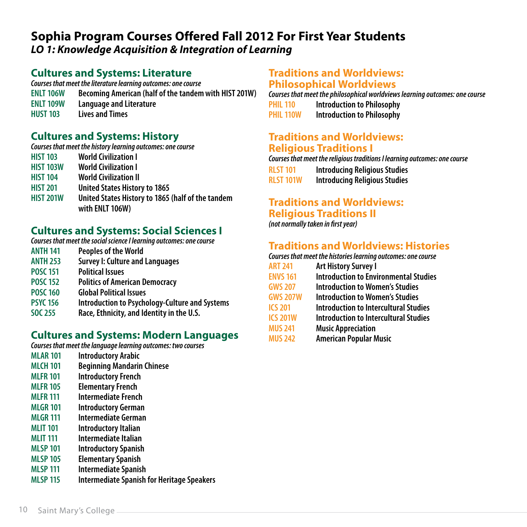# **Sophia Program Courses Offered Fall 2012 For First Year Students LO 1: Knowledge Acquisition & Integration of Learning**

### **Cultures and Systems: Literature**

**Courses that meet the literature learning outcomes: one course ENLT 106W Becoming American (half of the tandem with HIST 201W) ENLT 109W Language and Literature HUST 103 Lives and Times**

### **Cultures and Systems: History**

| Courses that meet the history learning outcomes: one course          |  |  |  |  |
|----------------------------------------------------------------------|--|--|--|--|
| <b>World Civilization I</b>                                          |  |  |  |  |
| <b>World Civilization I</b>                                          |  |  |  |  |
| <b>World Civilization II</b>                                         |  |  |  |  |
| <b>United States History to 1865</b>                                 |  |  |  |  |
| United States History to 1865 (half of the tandem<br>with ENLT 106W) |  |  |  |  |
|                                                                      |  |  |  |  |

### **Cultures and Systems: Social Sciences I**

**Courses that meet the social science I learning outcomes: one course**

- **ANTH 141 Peoples of the World**
- **ANTH 253 Survey I: Culture and Languages**
- **POSC 151 Political Issues**
- **POSC 152 Politics of American Democracy**
- **POSC 160 Global Political Issues**
- **PSYC 156 Introduction to Psychology-Culture and Systems**
- **SOC 255 Race, Ethnicity, and Identity in the U.S.**

### **Cultures and Systems: Modern Languages**

**Courses that meet the language learning outcomes: two courses**

- **MLAR 101 Introductory Arabic**
- **MLCH 101 Beginning Mandarin Chinese**
- **MLFR 101 Introductory French**
- **MLFR 105 Elementary French**
- **MLFR 111 Intermediate French**
- **MLGR 101 Introductory German**
- **MLGR 111 Intermediate German**
- **MLIT 101 Introductory Italian**
- **MLIT 111 Intermediate Italian**
- **MLSP 101 Introductory Spanish**
- **MLSP 105 Elementary Spanish**
- **MLSP 111 Intermediate Spanish**
- **MLSP 115 Intermediate Spanish for Heritage Speakers**

### **Traditions and Worldviews: Philosophical Worldviews**

**Courses that meet the philosophical worldviews learning outcomes: one course PHIL 110 Introduction to Philosophy PHIL 110W Introduction to Philosophy**

### **Traditions and Worldviews: Religious Traditions I**

**Courses that meet the religious traditions I learning outcomes: one course**

**RLST 101 Introducing Religious Studies RLST 101W Introducing Religious Studies**

# **Traditions and Worldviews: Religious Traditions II**

**(not normally taken in !rst year)**

# **Traditions and Worldviews: Histories**

**Courses that meet the histories learning outcomes: one course**

**ART 241 Art History Survey I ENVS 161 Introduction to Environmental Studies GWS 207 Introduction to Women's Studies GWS 207W Introduction to Women's Studies ICS 201 Introduction to Intercultural Studies ICS 201W Introduction to Intercultural Studies MUS 241 Music Appreciation MUS 242 American Popular Music**